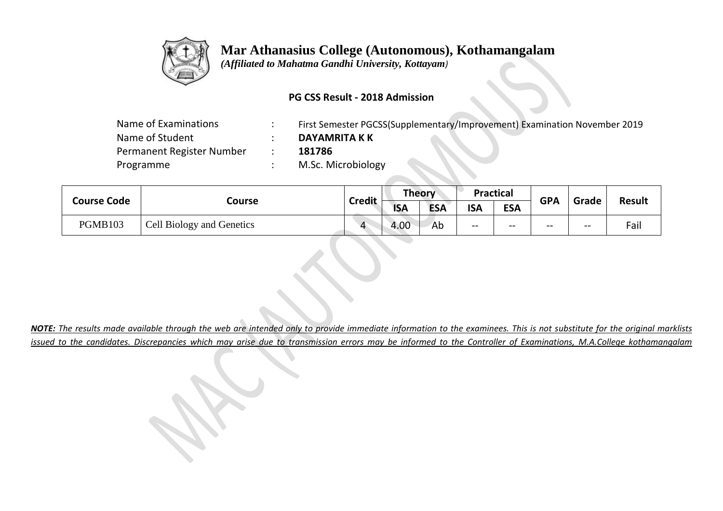

 *(Affiliated to Mahatma Gandhi University, Kottayam)*

### **PG CSS Result - 2018 Admission**

| Name of Examinations      | First Semester PGCSS(Supplementary/Improvement) Examination November 2019 |
|---------------------------|---------------------------------------------------------------------------|
| Name of Student           | <b>DAYAMRITA K K</b>                                                      |
| Permanent Register Number | 181786                                                                    |
| Programme                 | M.Sc. Microbiology                                                        |
|                           |                                                                           |

|  | <b>Course Code</b> |                           | <b>Credit</b> | Theory     |            | Practical  |            | <b>GPA</b> | Grade | <b>Result</b> |
|--|--------------------|---------------------------|---------------|------------|------------|------------|------------|------------|-------|---------------|
|  |                    | Course                    |               | <b>ISA</b> | <b>ESA</b> | <b>ISA</b> | <b>ESA</b> |            |       |               |
|  | PGMB103            | Cell Biology and Genetics |               | 4.00       | Ab         | $- -$      | --         | $- -$      | $- -$ | Fail          |

*NOTE: The results made available through the web are intended only to provide immediate information to the examinees. This is not substitute for the original marklists issued to the candidates. Discrepancies which may arise due to transmission errors may be informed to the Controller of Examinations, M.A.College kothamangalam*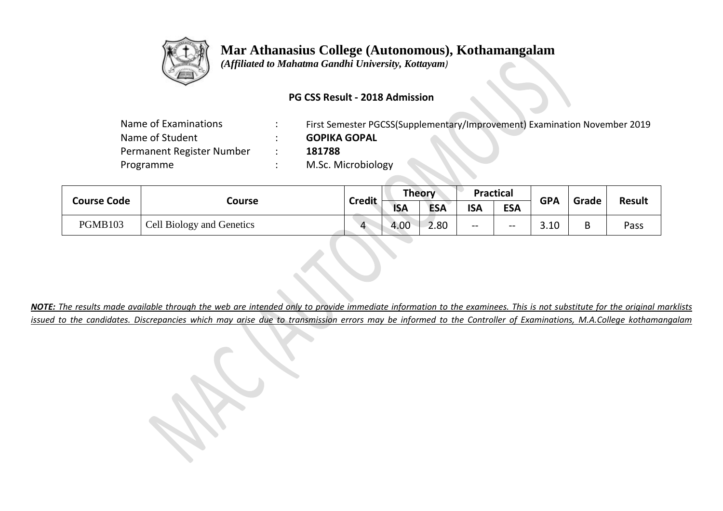

 *(Affiliated to Mahatma Gandhi University, Kottayam)*

### **PG CSS Result - 2018 Admission**

| Name of Examinations      | First Semester PGCSS(Supplementary/Improvement) Examination November 2019 |
|---------------------------|---------------------------------------------------------------------------|
| Name of Student           | <b>GOPIKA GOPAL</b>                                                       |
| Permanent Register Number | 181788                                                                    |
| Programme                 | M.Sc. Microbiology                                                        |
|                           |                                                                           |

| <b>Course Code</b> | Course                    |                    | Theory     |            | <b>Practical</b> |            | <b>GPA</b> | Grade | <b>Result</b> |
|--------------------|---------------------------|--------------------|------------|------------|------------------|------------|------------|-------|---------------|
|                    |                           | <b>Credit</b>      | <b>ISA</b> | <b>ESA</b> | <b>ISA</b>       | <b>ESA</b> |            |       |               |
| <b>PGMB103</b>     | Cell Biology and Genetics | $\mathbf{\Lambda}$ | 4.00       | 2.80       | $- -$            | $- -$      | 3.10       | В     | Pass          |

*NOTE: The results made available through the web are intended only to provide immediate information to the examinees. This is not substitute for the original marklists issued to the candidates. Discrepancies which may arise due to transmission errors may be informed to the Controller of Examinations, M.A.College kothamangalam*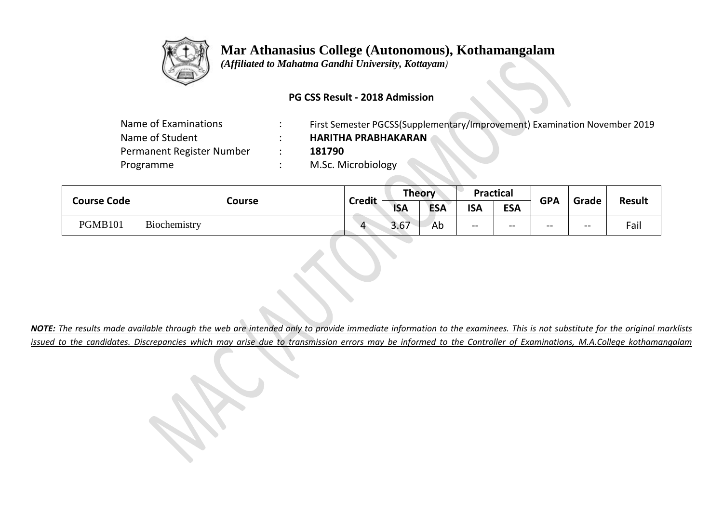

 *(Affiliated to Mahatma Gandhi University, Kottayam)*

### **PG CSS Result - 2018 Admission**

| Name of Examinations      | First Semester PGCSS(Supplementary/Improvement) Examination November 2019 |
|---------------------------|---------------------------------------------------------------------------|
| Name of Student           | <b>HARITHA PRABHAKARAN</b>                                                |
| Permanent Register Number | 181790                                                                    |
| Programme                 | M.Sc. Microbiology                                                        |
|                           |                                                                           |

| <b>Course Code</b><br>Course | <b>Credit</b> | Theory |            | <b>Practical</b> |            | <b>GPA</b> | Grade | <b>Result</b> |      |
|------------------------------|---------------|--------|------------|------------------|------------|------------|-------|---------------|------|
|                              |               |        | <b>ISA</b> | <b>ESA</b>       | <b>ISA</b> | <b>ESA</b> |       |               |      |
| <b>PGMB101</b>               | Biochemistry  |        | 3.67       | Ab               | $- -$      | $- -$      | $- -$ | $-$           | Fail |

*NOTE: The results made available through the web are intended only to provide immediate information to the examinees. This is not substitute for the original marklists issued to the candidates. Discrepancies which may arise due to transmission errors may be informed to the Controller of Examinations, M.A.College kothamangalam*